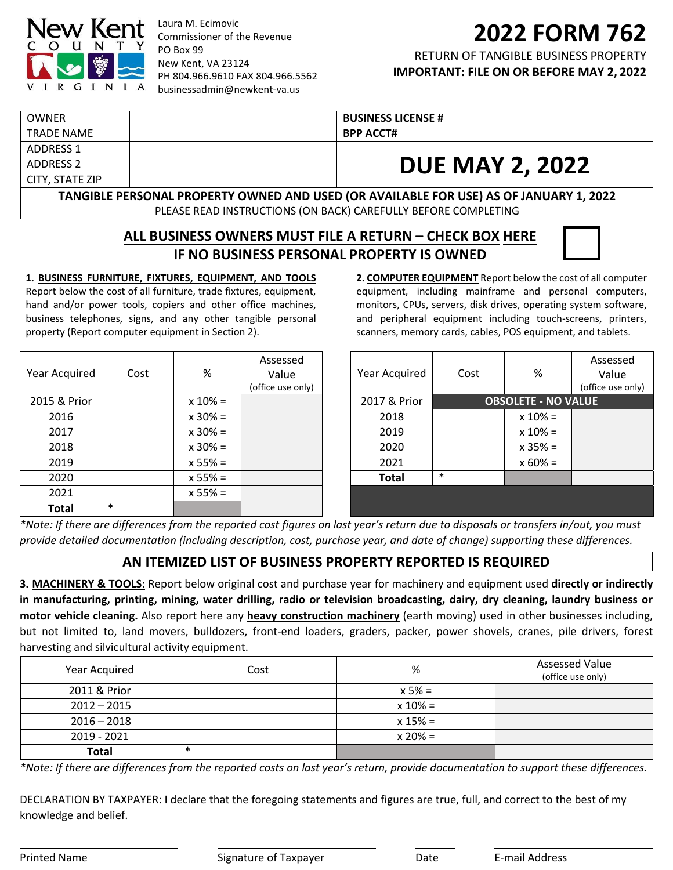

Laura M. Ecimovic Commissioner of the Revenue PO Box 99 New Kent, VA 23124 PH 804.966.9610 FAX 804.966.5562 [businessadmin@newkent](mailto: businessadmin@newkent-va.us)‐va.us

# **2022 FORM 762**

RETURN OF TANGIBLE BUSINESS PROPERTY **IMPORTANT: FILE ON OR BEFORE MAY 2, 2022**

| OWNER           | <b>BUSINESS LICENSE #</b> |                        |
|-----------------|---------------------------|------------------------|
| TRADE NAME      | <b>BPP ACCT#</b>          |                        |
| ADDRESS 1       |                           |                        |
| ADDRESS 2       |                           | <b>DUE MAY 2, 2022</b> |
| CITY, STATE ZIP |                           |                        |

**TANGIBLE PERSONAL PROPERTY OWNED AND USED (OR AVAILABLE FOR USE) AS OF JANUARY 1, 2022** PLEASE READ INSTRUCTIONS (ON BACK) CAREFULLY BEFORE COMPLETING

## **ALL BUSINESS OWNERS MUST FILE A RETURN – CHECK BOX HERE IF NO BUSINESS PERSONAL PROPERTY IS OWNED**

### **1. BUSINESS FURNITURE, FIXTURES, EQUIPMENT, AND TOOLS**

Report below the cost of all furniture, trade fixtures, equipment, hand and/or power tools, copiers and other office machines, business telephones, signs, and any other tangible personal property (Report computer equipment in Section 2).

| Year Acquired | Cost   | %          | Assessed<br>Value<br>(office use only) |
|---------------|--------|------------|----------------------------------------|
| 2015 & Prior  |        | $x 10\% =$ |                                        |
| 2016          |        | $x 30\% =$ |                                        |
| 2017          |        | $x 30\% =$ |                                        |
| 2018          |        | $x 30\% =$ |                                        |
| 2019          |        | $x 55% =$  |                                        |
| 2020          |        | $x 55% =$  |                                        |
| 2021          |        | $x 55% =$  |                                        |
| Total         | $\ast$ |            |                                        |

**2. COMPUTER EQUIPMENT** Report below the cost of all computer equipment, including mainframe and personal computers, monitors, CPUs, servers, disk drives, operating system software, and peripheral equipment including touch‐screens, printers, scanners, memory cards, cables, POS equipment, and tablets.

| Year Acquired | Cost                       | %          | Assessed<br>Value<br>(office use only) |
|---------------|----------------------------|------------|----------------------------------------|
| 2017 & Prior  | <b>OBSOLETE - NO VALUE</b> |            |                                        |
| 2018          |                            | $x 10% =$  |                                        |
| 2019          |                            | $x 10\% =$ |                                        |
| 2020          |                            | $x 35% =$  |                                        |
| 2021          |                            | $x 60\% =$ |                                        |
| <b>Total</b>  | $\ast$                     |            |                                        |
|               |                            |            |                                        |
|               |                            |            |                                        |

\*Note: If there are differences from the reported cost figures on last year's return due to disposals or transfers in/out, you must provide detailed documentation (including description, cost, purchase year, and date of change) supporting these differences.

## **AN ITEMIZED LIST OF BUSINESS PROPERTY REPORTED IS REQUIRED**

**3. MACHINERY & TOOLS:** Report below original cost and purchase year for machinery and equipment used **directly or indirectly** in manufacturing, printing, mining, water drilling, radio or television broadcasting, dairy, dry cleaning, laundry business or **motor vehicle cleaning.** Also report here any **heavy construction machinery** (earth moving) used in other businesses including, but not limited to, land movers, bulldozers, front‐end loaders, graders, packer, power shovels, cranes, pile drivers, forest harvesting and silvicultural activity equipment.

| Year Acquired | Cost   | %          | <b>Assessed Value</b><br>(office use only) |
|---------------|--------|------------|--------------------------------------------|
| 2011 & Prior  |        | $x 5\% =$  |                                            |
| $2012 - 2015$ |        | $x 10\% =$ |                                            |
| $2016 - 2018$ |        | $x 15% =$  |                                            |
| 2019 - 2021   |        | $x 20% =$  |                                            |
| <b>Total</b>  | $\ast$ |            |                                            |

\*Note: If there are differences from the reported costs on last year's return, provide documentation to support these differences.

DECLARATION BY TAXPAYER: I declare that the foregoing statements and figures are true, full, and correct to the best of my knowledge and belief.